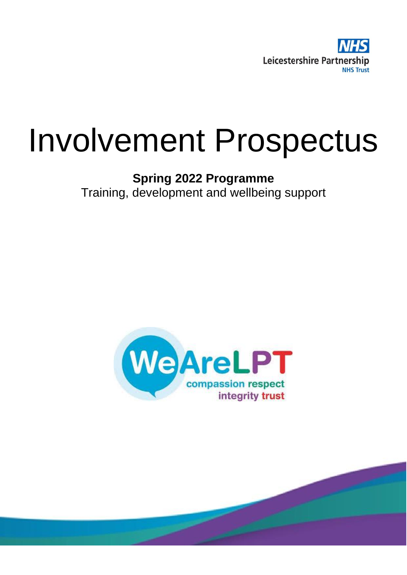

# Involvement Prospectus

### **Spring 2022 Programme** Training, development and wellbeing support

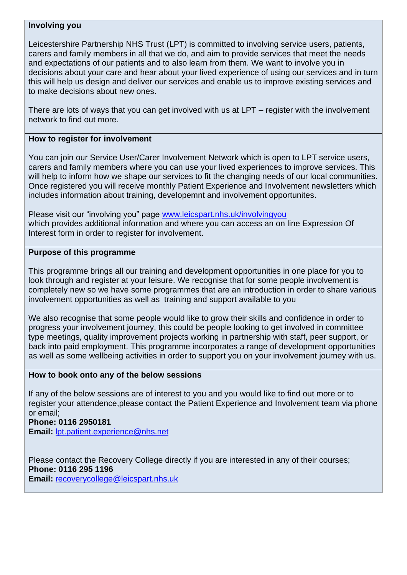#### **Involving you**

Leicestershire Partnership NHS Trust (LPT) is committed to involving service users, patients, carers and family members in all that we do, and aim to provide services that meet the needs and expectations of our patients and to also learn from them. We want to involve you in decisions about your care and hear about your lived experience of using our services and in turn this will help us design and deliver our services and enable us to improve existing services and to make decisions about new ones.

There are lots of ways that you can get involved with us at LPT – register with the involvement network to find out more.

#### **How to register for involvement**

You can join our Service User/Carer Involvement Network which is open to LPT service users, carers and family members where you can use your lived experiences to improve services. This will help to inform how we shape our services to fit the changing needs of our local communities. Once registered you will receive monthly Patient Experience and Involvement newsletters which includes information about training, developemnt and involvement opportunites.

Please visit our "involving you" page [www.leicspart.nhs.uk/involvingyou](http://www.leicspart.nhs.uk/involvingyou) which provides additional information and where you can access an on line Expression Of Interest form in order to register for involvement.

#### **Purpose of this programme**

This programme brings all our training and development opportunities in one place for you to look through and register at your leisure. We recognise that for some people involvement is completely new so we have some programmes that are an introduction in order to share various involvement opportunities as well as training and support available to you

We also recognise that some people would like to grow their skills and confidence in order to progress your involvement journey, this could be people looking to get involved in committee type meetings, quality improvement projects working in partnership with staff, peer support, or back into paid employment. This programme incorporates a range of development opportunities as well as some wellbeing activities in order to support you on your involvement journey with us.

#### **How to book onto any of the below sessions**

If any of the below sessions are of interest to you and you would like to find out more or to register your attendence,please contact the Patient Experience and Involvement team via phone or email;

**Phone: 0116 2950181 Email:** [lpt.patient.experience@nhs.net](mailto:lpt.patient.experience@nhs.net)

Please contact the Recovery College directly if you are interested in any of their courses; **Phone: 0116 295 1196 Email:** [recoverycollege@leicspart.nhs.uk](mailto:recoverycollege@leicspart.nhs.uk)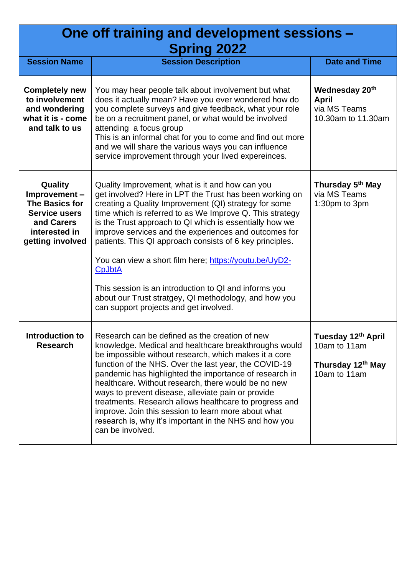## **One off training and development sessions – Spring 2022**

| UPHIN LULL                                                                                                                  |                                                                                                                                                                                                                                                                                                                                                                                                                                                                                                                                                                                                                                                        |                                                                         |  |  |
|-----------------------------------------------------------------------------------------------------------------------------|--------------------------------------------------------------------------------------------------------------------------------------------------------------------------------------------------------------------------------------------------------------------------------------------------------------------------------------------------------------------------------------------------------------------------------------------------------------------------------------------------------------------------------------------------------------------------------------------------------------------------------------------------------|-------------------------------------------------------------------------|--|--|
| <b>Session Name</b>                                                                                                         | <b>Session Description</b>                                                                                                                                                                                                                                                                                                                                                                                                                                                                                                                                                                                                                             | <b>Date and Time</b>                                                    |  |  |
| <b>Completely new</b><br>to involvement<br>and wondering<br>what it is - come<br>and talk to us                             | You may hear people talk about involvement but what<br>does it actually mean? Have you ever wondered how do<br>you complete surveys and give feedback, what your role<br>be on a recruitment panel, or what would be involved<br>attending a focus group<br>This is an informal chat for you to come and find out more<br>and we will share the various ways you can influence<br>service improvement through your lived expereinces.                                                                                                                                                                                                                  | Wednesday 20th<br><b>April</b><br>via MS Teams<br>10.30am to 11.30am    |  |  |
| Quality<br>Improvement-<br><b>The Basics for</b><br><b>Service users</b><br>and Carers<br>interested in<br>getting involved | Quality Improvement, what is it and how can you<br>get involved? Here in LPT the Trust has been working on<br>creating a Quality Improvement (QI) strategy for some<br>time which is referred to as We Improve Q. This strategy<br>is the Trust approach to QI which is essentially how we<br>improve services and the experiences and outcomes for<br>patients. This QI approach consists of 6 key principles.<br>You can view a short film here; https://youtu.be/UyD2-<br><b>CpJbtA</b><br>This session is an introduction to QI and informs you<br>about our Trust stratgey, QI methodology, and how you<br>can support projects and get involved. | Thursday 5 <sup>th</sup> May<br>via MS Teams<br>1:30pm to 3pm           |  |  |
| Introduction to<br><b>Research</b>                                                                                          | Research can be defined as the creation of new<br>knowledge. Medical and healthcare breakthroughs would<br>be impossible without research, which makes it a core<br>function of the NHS. Over the last year, the COVID-19<br>pandemic has highlighted the importance of research in<br>healthcare. Without research, there would be no new<br>ways to prevent disease, alleviate pain or provide<br>treatments. Research allows healthcare to progress and<br>improve. Join this session to learn more about what<br>research is, why it's important in the NHS and how you<br>can be involved.                                                        | Tuesday 12th April<br>10am to 11am<br>Thursday 12th May<br>10am to 11am |  |  |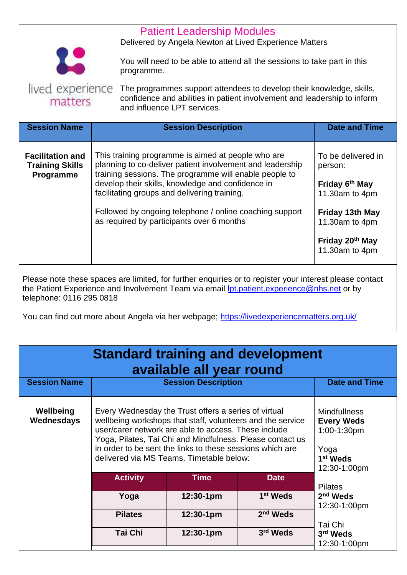|                                                                |                                                                                                                                                                                                                                                                                                                                                                                                                                 | <b>Patient Leadership Modules</b><br>Delivered by Angela Newton at Lived Experience Matters<br>You will need to be able to attend all the sessions to take part in this<br>programme. |                                                                                                                            |  |
|----------------------------------------------------------------|---------------------------------------------------------------------------------------------------------------------------------------------------------------------------------------------------------------------------------------------------------------------------------------------------------------------------------------------------------------------------------------------------------------------------------|---------------------------------------------------------------------------------------------------------------------------------------------------------------------------------------|----------------------------------------------------------------------------------------------------------------------------|--|
| lived experience<br>matters                                    |                                                                                                                                                                                                                                                                                                                                                                                                                                 | The programmes support attendees to develop their knowledge, skills,<br>confidence and abilities in patient involvement and leadership to inform<br>and influence LPT services.       |                                                                                                                            |  |
| <b>Session Name</b>                                            |                                                                                                                                                                                                                                                                                                                                                                                                                                 | <b>Session Description</b>                                                                                                                                                            | <b>Date and Time</b>                                                                                                       |  |
| <b>Facilitation and</b><br><b>Training Skills</b><br>Programme | This training programme is aimed at people who are<br>planning to co-deliver patient involvement and leadership<br>person:<br>training sessions. The programme will enable people to<br>develop their skills, knowledge and confidence in<br>Friday 6 <sup>th</sup> May<br>facilitating groups and delivering training.<br>Followed by ongoing telephone / online coaching support<br>as required by participants over 6 months |                                                                                                                                                                                       | To be delivered in<br>11.30am to 4pm<br>Friday 13th May<br>11.30am to 4pm<br>Friday 20 <sup>th</sup> May<br>11.30am to 4pm |  |
|                                                                |                                                                                                                                                                                                                                                                                                                                                                                                                                 | Please note these spaces are limited, for further enquiries or to register your interest please contact                                                                               |                                                                                                                            |  |

the Patient Experience and Involvement Team via email <u>Ipt.patient.experience@nhs.net</u> or by telephone: 0116 295 0818

You can find out more about Angela via her webpage;<https://livedexperiencematters.org.uk/>

| <b>Standard training and development</b><br>available all year round |                                                                                                                                                                                                                                                                                                                                                  |                            |                      |                                                                                                         |
|----------------------------------------------------------------------|--------------------------------------------------------------------------------------------------------------------------------------------------------------------------------------------------------------------------------------------------------------------------------------------------------------------------------------------------|----------------------------|----------------------|---------------------------------------------------------------------------------------------------------|
| <b>Session Name</b>                                                  |                                                                                                                                                                                                                                                                                                                                                  | <b>Session Description</b> |                      | <b>Date and Time</b>                                                                                    |
| Wellbeing<br>Wednesdays                                              | Every Wednesday the Trust offers a series of virtual<br>wellbeing workshops that staff, volunteers and the service<br>user/carer network are able to access. These include<br>Yoga, Pilates, Tai Chi and Mindfulness. Please contact us<br>in order to be sent the links to these sessions which are<br>delivered via MS Teams. Timetable below: |                            |                      | <b>Mindfullness</b><br><b>Every Weds</b><br>1:00-1:30pm<br>Yoga<br>1 <sup>st</sup> Weds<br>12:30-1:00pm |
|                                                                      | <b>Activity</b>                                                                                                                                                                                                                                                                                                                                  | <b>Time</b>                | <b>Date</b>          | <b>Pilates</b>                                                                                          |
|                                                                      | Yoga                                                                                                                                                                                                                                                                                                                                             | $12:30-1pm$                | 1 <sup>st</sup> Weds | $2nd$ Weds<br>12:30-1:00pm                                                                              |
|                                                                      | <b>Pilates</b>                                                                                                                                                                                                                                                                                                                                   | $12:30-1pm$                | 2 <sup>nd</sup> Weds |                                                                                                         |
|                                                                      | <b>Tai Chi</b>                                                                                                                                                                                                                                                                                                                                   | 12:30-1pm                  | 3 <sup>rd</sup> Weds | Tai Chi<br>3 <sup>rd</sup> Weds<br>12:30-1:00pm                                                         |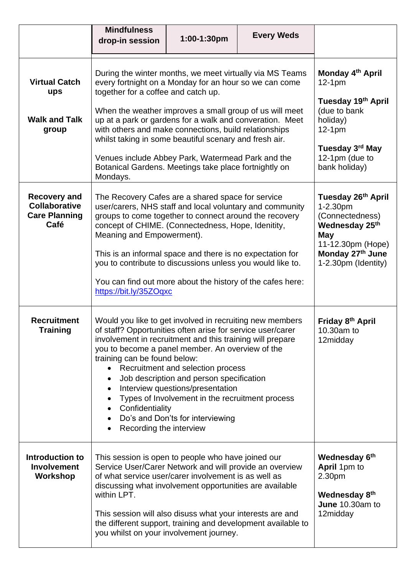|                                                                             | <b>Mindfulness</b><br>drop-in session                                                                                                                                                                                                                                                                                                                                                                                                                                                                                         | 1:00-1:30pm                                                                                                                                                                                              | <b>Every Weds</b>                                            |                                                                                                                                                              |
|-----------------------------------------------------------------------------|-------------------------------------------------------------------------------------------------------------------------------------------------------------------------------------------------------------------------------------------------------------------------------------------------------------------------------------------------------------------------------------------------------------------------------------------------------------------------------------------------------------------------------|----------------------------------------------------------------------------------------------------------------------------------------------------------------------------------------------------------|--------------------------------------------------------------|--------------------------------------------------------------------------------------------------------------------------------------------------------------|
| <b>Virtual Catch</b><br>ups<br><b>Walk and Talk</b><br>group                | During the winter months, we meet virtually via MS Teams<br>every fortnight on a Monday for an hour so we can come<br>together for a coffee and catch up.<br>When the weather improves a small group of us will meet<br>up at a park or gardens for a walk and converation. Meet<br>with others and make connections, build relationships<br>whilst taking in some beautiful scenary and fresh air.<br>Venues include Abbey Park, Watermead Park and the<br>Botanical Gardens. Meetings take place fortnightly on<br>Mondays. |                                                                                                                                                                                                          |                                                              | Monday 4th April<br>$12-1pm$<br>Tuesday 19th April<br>(due to bank<br>holiday)<br>$12-1pm$<br>Tuesday 3 <sup>rd</sup> May<br>12-1pm (due to<br>bank holiday) |
| <b>Recovery and</b><br><b>Collaborative</b><br><b>Care Planning</b><br>Café | The Recovery Cafes are a shared space for service<br>user/carers, NHS staff and local voluntary and community<br>groups to come together to connect around the recovery<br>concept of CHIME. (Connectedness, Hope, Idenitity,<br>Meaning and Empowerment).<br>This is an informal space and there is no expectation for<br>you to contribute to discussions unless you would like to.<br>You can find out more about the history of the cafes here:<br>https://bit.ly/35ZOqxc                                                 |                                                                                                                                                                                                          |                                                              | Tuesday 26 <sup>th</sup> April<br>1-2.30pm<br>(Connectedness)<br>Wednesday 25th<br>May<br>11-12.30pm (Hope)<br>Monday 27th June<br>1-2.30pm (Identity)       |
| <b>Recruitment</b><br><b>Training</b>                                       | Would you like to get involved in recruiting new members<br>of staff? Opportunities often arise for service user/carer<br>involvement in recruitment and this training will prepare<br>you to become a panel member. An overview of the<br>training can be found below:<br>Confidentiality<br>Recording the interview                                                                                                                                                                                                         | Recruitment and selection process<br>Job description and person specification<br>Interview questions/presentation<br>Types of Involvement in the recruitment process<br>Do's and Don'ts for interviewing |                                                              | Friday 8 <sup>th</sup> April<br>10.30am to<br>12midday                                                                                                       |
| Introduction to<br><b>Involvement</b><br><b>Workshop</b>                    | This session is open to people who have joined our<br>Service User/Carer Network and will provide an overview<br>of what service user/carer involvement is as well as<br>discussing what involvement opportunities are available<br>within LPT.<br>This session will also disuss what your interests are and<br>you whilst on your involvement journey.                                                                                                                                                                       |                                                                                                                                                                                                          | the different support, training and development available to | Wednesday 6th<br>April 1pm to<br>2.30pm<br>Wednesday 8th<br>June 10.30am to<br>12midday                                                                      |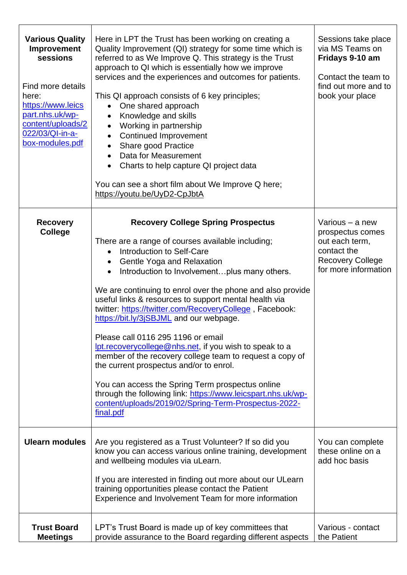| <b>Various Quality</b><br>Improvement<br>sessions<br>Find more details<br>here:<br>https://www.leics<br>part.nhs.uk/wp-<br>content/uploads/2<br>022/03/QI-in-a-<br>box-modules.pdf | Here in LPT the Trust has been working on creating a<br>Quality Improvement (QI) strategy for some time which is<br>referred to as We Improve Q. This strategy is the Trust<br>approach to QI which is essentially how we improve<br>services and the experiences and outcomes for patients.<br>This QI approach consists of 6 key principles;<br>One shared approach<br>Knowledge and skills<br>$\bullet$<br>Working in partnership<br>$\bullet$<br><b>Continued Improvement</b><br>$\bullet$<br>Share good Practice<br>Data for Measurement<br>Charts to help capture QI project data<br>$\bullet$<br>You can see a short film about We Improve Q here;<br>https://youtu.be/UyD2-CpJbtA                                                                                                                                                                                | Sessions take place<br>via MS Teams on<br>Fridays 9-10 am<br>Contact the team to<br>find out more and to<br>book your place |
|------------------------------------------------------------------------------------------------------------------------------------------------------------------------------------|--------------------------------------------------------------------------------------------------------------------------------------------------------------------------------------------------------------------------------------------------------------------------------------------------------------------------------------------------------------------------------------------------------------------------------------------------------------------------------------------------------------------------------------------------------------------------------------------------------------------------------------------------------------------------------------------------------------------------------------------------------------------------------------------------------------------------------------------------------------------------|-----------------------------------------------------------------------------------------------------------------------------|
| <b>Recovery</b><br><b>College</b>                                                                                                                                                  | <b>Recovery College Spring Prospectus</b><br>There are a range of courses available including;<br>Introduction to Self-Care<br>$\bullet$<br>Gentle Yoga and Relaxation<br>Introduction to Involvementplus many others.<br>$\bullet$<br>We are continuing to enrol over the phone and also provide<br>useful links & resources to support mental health via<br>twitter: https://twitter.com/RecoveryCollege, Facebook:<br>https://bit.ly/3jSBJML and our webpage.<br>Please call 0116 295 1196 or email<br><u>lpt.recoverycollege@nhs.net</u> , if you wish to speak to a<br>member of the recovery college team to request a copy of<br>the current prospectus and/or to enrol.<br>You can access the Spring Term prospectus online<br>through the following link: https://www.leicspart.nhs.uk/wp-<br>content/uploads/2019/02/Spring-Term-Prospectus-2022-<br>final.pdf | Various – a new<br>prospectus comes<br>out each term,<br>contact the<br><b>Recovery College</b><br>for more information     |
| <b>Ulearn modules</b>                                                                                                                                                              | Are you registered as a Trust Volunteer? If so did you<br>know you can access various online training, development<br>and wellbeing modules via uLearn.<br>If you are interested in finding out more about our ULearn<br>training opportunities please contact the Patient<br>Experience and Involvement Team for more information                                                                                                                                                                                                                                                                                                                                                                                                                                                                                                                                       | You can complete<br>these online on a<br>add hoc basis                                                                      |
| <b>Trust Board</b><br><b>Meetings</b>                                                                                                                                              | LPT's Trust Board is made up of key committees that<br>provide assurance to the Board regarding different aspects                                                                                                                                                                                                                                                                                                                                                                                                                                                                                                                                                                                                                                                                                                                                                        | Various - contact<br>the Patient                                                                                            |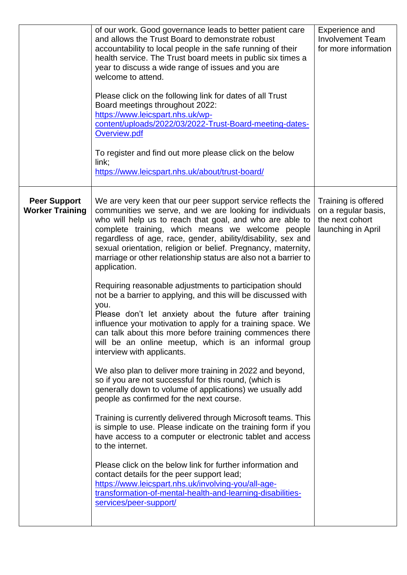|                                               | of our work. Good governance leads to better patient care<br>and allows the Trust Board to demonstrate robust<br>accountability to local people in the safe running of their<br>health service. The Trust board meets in public six times a<br>year to discuss a wide range of issues and you are<br>welcome to attend.<br>Please click on the following link for dates of all Trust<br>Board meetings throughout 2022:<br>https://www.leicspart.nhs.uk/wp-<br>content/uploads/2022/03/2022-Trust-Board-meeting-dates-<br>Overview.pdf<br>To register and find out more please click on the below<br>link;<br>https://www.leicspart.nhs.uk/about/trust-board/                                                                                                                                                                                                                                                                                                                                                                                                                                                                                                                                                                                                                                                                                                                                                                                                                                                                                                                              | Experience and<br><b>Involvement Team</b><br>for more information                   |
|-----------------------------------------------|--------------------------------------------------------------------------------------------------------------------------------------------------------------------------------------------------------------------------------------------------------------------------------------------------------------------------------------------------------------------------------------------------------------------------------------------------------------------------------------------------------------------------------------------------------------------------------------------------------------------------------------------------------------------------------------------------------------------------------------------------------------------------------------------------------------------------------------------------------------------------------------------------------------------------------------------------------------------------------------------------------------------------------------------------------------------------------------------------------------------------------------------------------------------------------------------------------------------------------------------------------------------------------------------------------------------------------------------------------------------------------------------------------------------------------------------------------------------------------------------------------------------------------------------------------------------------------------------|-------------------------------------------------------------------------------------|
| <b>Peer Support</b><br><b>Worker Training</b> | We are very keen that our peer support service reflects the<br>communities we serve, and we are looking for individuals<br>who will help us to reach that goal, and who are able to<br>complete training, which means we welcome people<br>regardless of age, race, gender, ability/disability, sex and<br>sexual orientation, religion or belief. Pregnancy, maternity,<br>marriage or other relationship status are also not a barrier to<br>application.<br>Requiring reasonable adjustments to participation should<br>not be a barrier to applying, and this will be discussed with<br>you.<br>Please don't let anxiety about the future after training<br>influence your motivation to apply for a training space. We<br>can talk about this more before training commences there<br>will be an online meetup, which is an informal group<br>interview with applicants.<br>We also plan to deliver more training in 2022 and beyond,<br>so if you are not successful for this round, (which is<br>generally down to volume of applications) we usually add<br>people as confirmed for the next course.<br>Training is currently delivered through Microsoft teams. This<br>is simple to use. Please indicate on the training form if you<br>have access to a computer or electronic tablet and access<br>to the internet.<br>Please click on the below link for further information and<br>contact details for the peer support lead;<br>https://www.leicspart.nhs.uk/involving-you/all-age-<br>transformation-of-mental-health-and-learning-disabilities-<br>services/peer-support/ | Training is offered<br>on a regular basis,<br>the next cohort<br>launching in April |